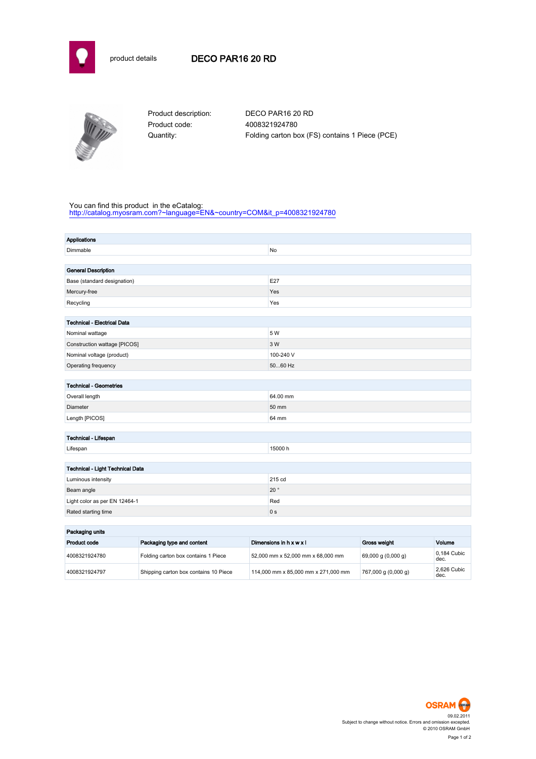



Product code: 4008321924780

Product description: DECO PAR16 20 RD Quantity: Folding carton box (FS) contains 1 Piece (PCE)

## You can find this product in the eCatalog:

[http://catalog.myosram.com?~language=EN&~country=COM&it\\_p=4008321924780](http://catalog.myosram.com?~language=EN&~country=COM&it_p=4008321924780)

| <b>Applications</b>                |                                     |                                   |                         |                    |                     |
|------------------------------------|-------------------------------------|-----------------------------------|-------------------------|--------------------|---------------------|
| Dimmable                           |                                     |                                   | No                      |                    |                     |
|                                    |                                     |                                   |                         |                    |                     |
| <b>General Description</b>         |                                     |                                   |                         |                    |                     |
| Base (standard designation)        |                                     |                                   | E27                     |                    |                     |
| Mercury-free                       |                                     |                                   | Yes                     |                    |                     |
| Recycling                          |                                     |                                   | Yes                     |                    |                     |
|                                    |                                     |                                   |                         |                    |                     |
| <b>Technical - Electrical Data</b> |                                     |                                   |                         |                    |                     |
| Nominal wattage                    |                                     | 5 W                               |                         |                    |                     |
| Construction wattage [PICOS]       |                                     | 3 W                               |                         |                    |                     |
| Nominal voltage (product)          |                                     |                                   | 100-240 V               |                    |                     |
| Operating frequency                |                                     |                                   | 5060 Hz                 |                    |                     |
|                                    |                                     |                                   |                         |                    |                     |
| <b>Technical - Geometries</b>      |                                     |                                   |                         |                    |                     |
| Overall length                     |                                     |                                   | 64.00 mm                |                    |                     |
| Diameter                           |                                     |                                   | 50 mm                   |                    |                     |
| Length [PICOS]                     |                                     |                                   | 64 mm                   |                    |                     |
|                                    |                                     |                                   |                         |                    |                     |
| Technical - Lifespan               |                                     |                                   |                         |                    |                     |
| Lifespan                           |                                     |                                   | 15000 h                 |                    |                     |
|                                    |                                     |                                   |                         |                    |                     |
| Technical - Light Technical Data   |                                     |                                   |                         |                    |                     |
| Luminous intensity                 |                                     |                                   | 215 cd                  |                    |                     |
| Beam angle                         |                                     |                                   | $20^{\circ}$            |                    |                     |
| Light color as per EN 12464-1      |                                     |                                   | Red                     |                    |                     |
| Rated starting time                |                                     |                                   | 0 <sub>s</sub>          |                    |                     |
|                                    |                                     |                                   |                         |                    |                     |
| Packaging units                    |                                     |                                   |                         |                    |                     |
| Product code                       | Packaging type and content          |                                   | Dimensions in h x w x l | Gross weight       | Volume              |
| 4008321924780                      | Folding carton box contains 1 Piece | 52,000 mm x 52,000 mm x 68,000 mm |                         | 69,000 g (0,000 g) | 0,184 Cubic<br>dec. |

4008321924797 Shipping carton box contains 10 Piece 114,000 mm x 85,000 mm x 271,000 mm 767,000 g (0,000 g)



2,626 Cubic<br>dec.